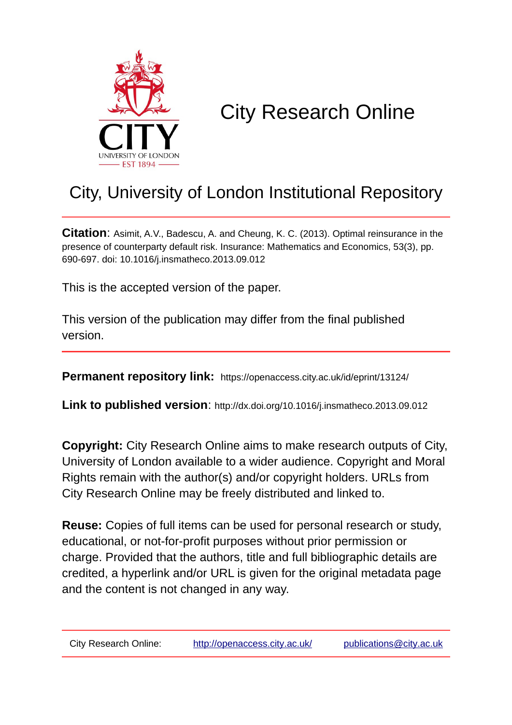

# City Research Online

## City, University of London Institutional Repository

**Citation**: Asimit, A.V., Badescu, A. and Cheung, K. C. (2013). Optimal reinsurance in the presence of counterparty default risk. Insurance: Mathematics and Economics, 53(3), pp. 690-697. doi: 10.1016/j.insmatheco.2013.09.012

This is the accepted version of the paper.

This version of the publication may differ from the final published version.

**Permanent repository link:** https://openaccess.city.ac.uk/id/eprint/13124/

**Link to published version**: http://dx.doi.org/10.1016/j.insmatheco.2013.09.012

**Copyright:** City Research Online aims to make research outputs of City, University of London available to a wider audience. Copyright and Moral Rights remain with the author(s) and/or copyright holders. URLs from City Research Online may be freely distributed and linked to.

**Reuse:** Copies of full items can be used for personal research or study, educational, or not-for-profit purposes without prior permission or charge. Provided that the authors, title and full bibliographic details are credited, a hyperlink and/or URL is given for the original metadata page and the content is not changed in any way.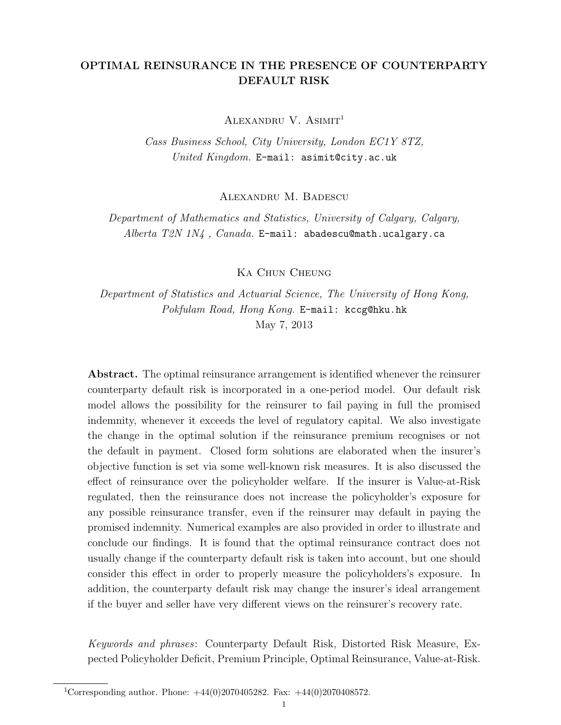### OPTIMAL REINSURANCE IN THE PRESENCE OF COUNTERPARTY DEFAULT RISK

ALEXANDRU V. ASIMIT<sup>1</sup>

Cass Business School, City University, London EC1Y 8TZ, United Kingdom. E-mail: asimit@city.ac.uk

Alexandru M. Badescu

Department of Mathematics and Statistics, University of Calgary, Calgary, Alberta T2N  $1N<sub>4</sub>$ , Canada. E-mail: abadescu@math.ucalgary.ca

Ka Chun Cheung

Department of Statistics and Actuarial Science, The University of Hong Kong, Pokfulam Road, Hong Kong. E-mail: kccg@hku.hk May 7, 2013

Abstract. The optimal reinsurance arrangement is identified whenever the reinsurer counterparty default risk is incorporated in a one-period model. Our default risk model allows the possibility for the reinsurer to fail paying in full the promised indemnity, whenever it exceeds the level of regulatory capital. We also investigate the change in the optimal solution if the reinsurance premium recognises or not the default in payment. Closed form solutions are elaborated when the insurer's objective function is set via some well-known risk measures. It is also discussed the effect of reinsurance over the policyholder welfare. If the insurer is Value-at-Risk regulated, then the reinsurance does not increase the policyholder's exposure for any possible reinsurance transfer, even if the reinsurer may default in paying the promised indemnity. Numerical examples are also provided in order to illustrate and conclude our findings. It is found that the optimal reinsurance contract does not usually change if the counterparty default risk is taken into account, but one should consider this effect in order to properly measure the policyholders's exposure. In addition, the counterparty default risk may change the insurer's ideal arrangement if the buyer and seller have very different views on the reinsurer's recovery rate.

Keywords and phrases: Counterparty Default Risk, Distorted Risk Measure, Expected Policyholder Deficit, Premium Principle, Optimal Reinsurance, Value-at-Risk.

<sup>&</sup>lt;sup>1</sup>Corresponding author. Phone:  $+44(0)2070405282$ . Fax:  $+44(0)2070408572$ .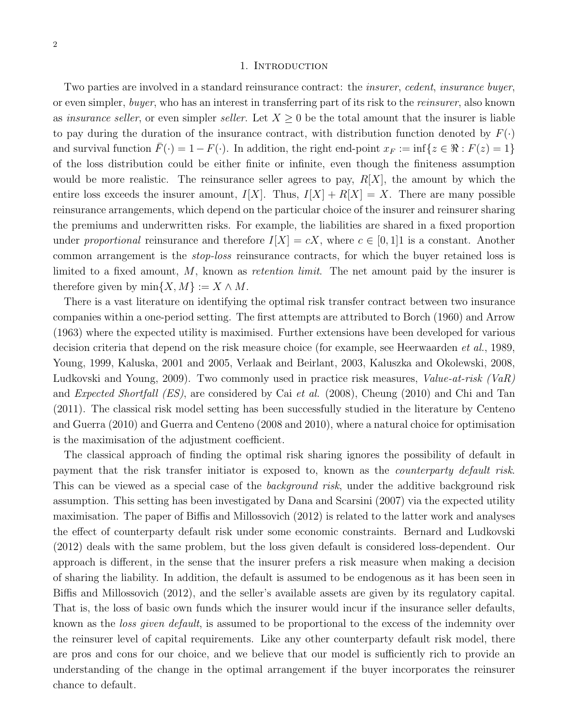#### 1. Introduction

Two parties are involved in a standard reinsurance contract: the *insurer*, *cedent*, *insurance buyer*, or even simpler, buyer, who has an interest in transferring part of its risk to the reinsurer, also known as insurance seller, or even simpler seller. Let  $X \geq 0$  be the total amount that the insurer is liable to pay during the duration of the insurance contract, with distribution function denoted by  $F(\cdot)$ and survival function  $F(\cdot) = 1 - F(\cdot)$ . In addition, the right end-point  $x_F := \inf\{z \in \Re : F(z) = 1\}$ of the loss distribution could be either finite or infinite, even though the finiteness assumption would be more realistic. The reinsurance seller agrees to pay,  $R[X]$ , the amount by which the entire loss exceeds the insurer amount,  $I[X]$ . Thus,  $I[X] + R[X] = X$ . There are many possible reinsurance arrangements, which depend on the particular choice of the insurer and reinsurer sharing the premiums and underwritten risks. For example, the liabilities are shared in a fixed proportion under proportional reinsurance and therefore  $I[X] = cX$ , where  $c \in [0,1]$  is a constant. Another common arrangement is the stop-loss reinsurance contracts, for which the buyer retained loss is limited to a fixed amount, M, known as *retention limit*. The net amount paid by the insurer is therefore given by  $\min\{X, M\} := X \wedge M$ .

There is a vast literature on identifying the optimal risk transfer contract between two insurance companies within a one-period setting. The first attempts are attributed to Borch (1960) and Arrow (1963) where the expected utility is maximised. Further extensions have been developed for various decision criteria that depend on the risk measure choice (for example, see Heerwaarden et al., 1989, Young, 1999, Kaluska, 2001 and 2005, Verlaak and Beirlant, 2003, Kaluszka and Okolewski, 2008, Ludkovski and Young, 2009). Two commonly used in practice risk measures, *Value-at-risk (VaR)* and Expected Shortfall (ES), are considered by Cai et al. (2008), Cheung (2010) and Chi and Tan (2011). The classical risk model setting has been successfully studied in the literature by Centeno and Guerra (2010) and Guerra and Centeno (2008 and 2010), where a natural choice for optimisation is the maximisation of the adjustment coefficient.

The classical approach of finding the optimal risk sharing ignores the possibility of default in payment that the risk transfer initiator is exposed to, known as the counterparty default risk. This can be viewed as a special case of the *background risk*, under the additive background risk assumption. This setting has been investigated by Dana and Scarsini (2007) via the expected utility maximisation. The paper of Biffis and Millossovich (2012) is related to the latter work and analyses the effect of counterparty default risk under some economic constraints. Bernard and Ludkovski (2012) deals with the same problem, but the loss given default is considered loss-dependent. Our approach is different, in the sense that the insurer prefers a risk measure when making a decision of sharing the liability. In addition, the default is assumed to be endogenous as it has been seen in Biffis and Millossovich (2012), and the seller's available assets are given by its regulatory capital. That is, the loss of basic own funds which the insurer would incur if the insurance seller defaults, known as the loss given default, is assumed to be proportional to the excess of the indemnity over the reinsurer level of capital requirements. Like any other counterparty default risk model, there are pros and cons for our choice, and we believe that our model is sufficiently rich to provide an understanding of the change in the optimal arrangement if the buyer incorporates the reinsurer chance to default.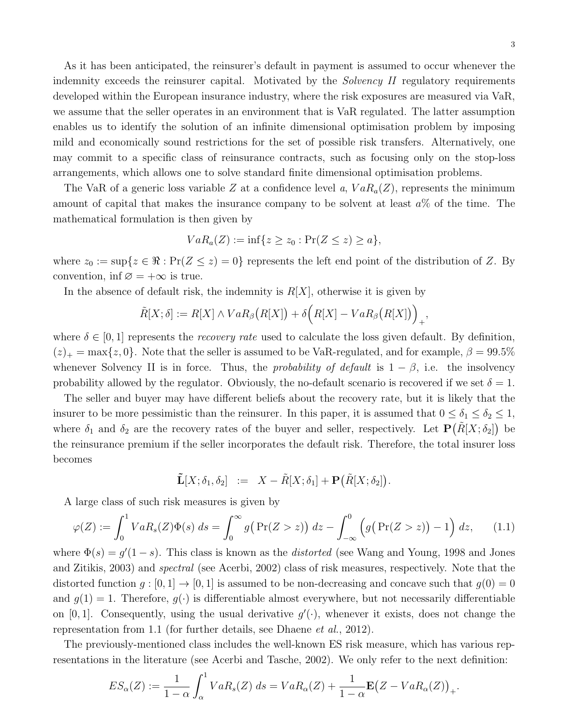As it has been anticipated, the reinsurer's default in payment is assumed to occur whenever the indemnity exceeds the reinsurer capital. Motivated by the *Solvency II* regulatory requirements developed within the European insurance industry, where the risk exposures are measured via VaR, we assume that the seller operates in an environment that is VaR regulated. The latter assumption enables us to identify the solution of an infinite dimensional optimisation problem by imposing mild and economically sound restrictions for the set of possible risk transfers. Alternatively, one may commit to a specific class of reinsurance contracts, such as focusing only on the stop-loss arrangements, which allows one to solve standard finite dimensional optimisation problems.

The VaR of a generic loss variable Z at a confidence level a,  $VaR_a(Z)$ , represents the minimum amount of capital that makes the insurance company to be solvent at least  $a\%$  of the time. The mathematical formulation is then given by

$$
VaR_a(Z):=\inf\{z\geq z_0:\Pr(Z\leq z)\geq a\},\
$$

where  $z_0 := \sup\{z \in \Re : \Pr(Z \leq z) = 0\}$  represents the left end point of the distribution of Z. By convention, inf  $\varnothing = +\infty$  is true.

In the absence of default risk, the indemnity is  $R[X]$ , otherwise it is given by

$$
\tilde{R}[X;\delta] := R[X] \wedge VaR_{\beta}(R[X]) + \delta(R[X] - VaR_{\beta}(R[X])\Big)_{+},
$$

where  $\delta \in [0, 1]$  represents the *recovery rate* used to calculate the loss given default. By definition,  $(z)_+ = \max\{z, 0\}$ . Note that the seller is assumed to be VaR-regulated, and for example,  $\beta = 99.5\%$ whenever Solvency II is in force. Thus, the *probability of default* is  $1 - \beta$ , i.e. the insolvency probability allowed by the regulator. Obviously, the no-default scenario is recovered if we set  $\delta = 1$ .

The seller and buyer may have different beliefs about the recovery rate, but it is likely that the insurer to be more pessimistic than the reinsurer. In this paper, it is assumed that  $0 \le \delta_1 \le \delta_2 \le 1$ , where  $\delta_1$  and  $\delta_2$  are the recovery rates of the buyer and seller, respectively. Let  $\mathbf{P}(\tilde{R}[X;\delta_2])$  be the reinsurance premium if the seller incorporates the default risk. Therefore, the total insurer loss becomes

$$
\tilde{\mathbf{L}}[X; \delta_1, \delta_2] \; := \; X - \tilde{R}[X; \delta_1] + \mathbf{P}(\tilde{R}[X; \delta_2]).
$$

A large class of such risk measures is given by

$$
\varphi(Z) := \int_0^1 VaR_s(Z)\Phi(s) \ ds = \int_0^\infty g\big(\Pr(Z > z)\big) \ dz - \int_{-\infty}^0 \left(g\big(\Pr(Z > z)\big) - 1\right) \ dz,\tag{1.1}
$$

where  $\Phi(s) = g'(1-s)$ . This class is known as the *distorted* (see Wang and Young, 1998 and Jones and Zitikis, 2003) and spectral (see Acerbi, 2002) class of risk measures, respectively. Note that the distorted function  $g:[0,1] \to [0,1]$  is assumed to be non-decreasing and concave such that  $g(0) = 0$ and  $g(1) = 1$ . Therefore,  $g(\cdot)$  is differentiable almost everywhere, but not necessarily differentiable on [0, 1]. Consequently, using the usual derivative  $g'(\cdot)$ , whenever it exists, does not change the representation from 1.1 (for further details, see Dhaene et al., 2012).

The previously-mentioned class includes the well-known ES risk measure, which has various representations in the literature (see Acerbi and Tasche, 2002). We only refer to the next definition:

$$
ES_{\alpha}(Z) := \frac{1}{1-\alpha} \int_{\alpha}^{1} VaR_{s}(Z) ds = VaR_{\alpha}(Z) + \frac{1}{1-\alpha} \mathbf{E}(Z - VaR_{\alpha}(Z))_{+}.
$$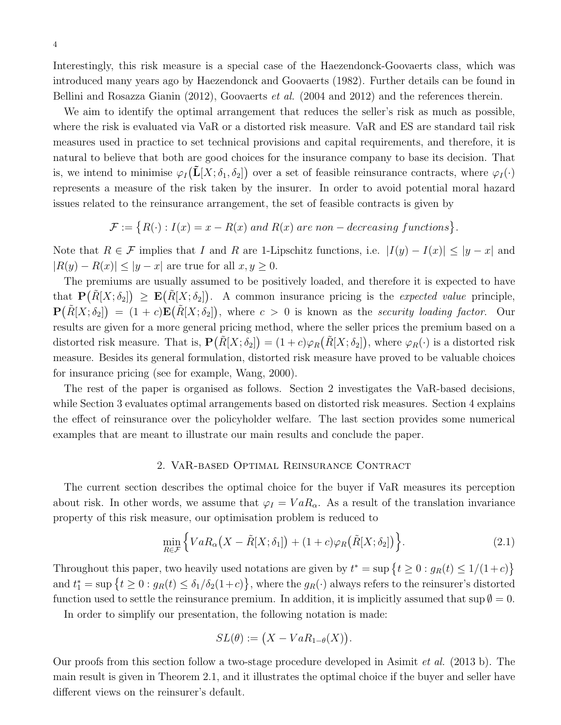Interestingly, this risk measure is a special case of the Haezendonck-Goovaerts class, which was introduced many years ago by Haezendonck and Goovaerts (1982). Further details can be found in Bellini and Rosazza Gianin (2012), Goovaerts *et al.* (2004 and 2012) and the references therein.

We aim to identify the optimal arrangement that reduces the seller's risk as much as possible, where the risk is evaluated via VaR or a distorted risk measure. VaR and ES are standard tail risk measures used in practice to set technical provisions and capital requirements, and therefore, it is natural to believe that both are good choices for the insurance company to base its decision. That is, we intend to minimise  $\varphi_I(\tilde{\mathbf{L}}[X;\delta_1,\delta_2])$  over a set of feasible reinsurance contracts, where  $\varphi_I(\cdot)$ represents a measure of the risk taken by the insurer. In order to avoid potential moral hazard issues related to the reinsurance arrangement, the set of feasible contracts is given by

$$
\mathcal{F} := \{ R(\cdot) : I(x) = x - R(x) \text{ and } R(x) \text{ are non-decreasing functions} \}.
$$

Note that  $R \in \mathcal{F}$  implies that I and R are 1-Lipschitz functions, i.e.  $|I(y) - I(x)| \leq |y - x|$  and  $|R(y) - R(x)| \le |y - x|$  are true for all  $x, y \ge 0$ .

The premiums are usually assumed to be positively loaded, and therefore it is expected to have that  $\mathbf{P}(\tilde{R}[X;\delta_2]) \geq \mathbf{E}(\tilde{R}[X;\delta_2]).$  A common insurance pricing is the expected value principle,  $\mathbf{P}(\tilde{R}[X;\delta_2]) = (1+c)\mathbf{E}(\tilde{R}[X;\delta_2]),$  where  $c > 0$  is known as the security loading factor. Our results are given for a more general pricing method, where the seller prices the premium based on a distorted risk measure. That is,  $\mathbf{P}(\tilde{R}[X; \delta_2]) = (1+c)\varphi_R(\tilde{R}[X; \delta_2])$ , where  $\varphi_R(\cdot)$  is a distorted risk measure. Besides its general formulation, distorted risk measure have proved to be valuable choices for insurance pricing (see for example, Wang, 2000).

The rest of the paper is organised as follows. Section 2 investigates the VaR-based decisions, while Section 3 evaluates optimal arrangements based on distorted risk measures. Section 4 explains the effect of reinsurance over the policyholder welfare. The last section provides some numerical examples that are meant to illustrate our main results and conclude the paper.

#### 2. VaR-based Optimal Reinsurance Contract

The current section describes the optimal choice for the buyer if VaR measures its perception about risk. In other words, we assume that  $\varphi_I = VaR_\alpha$ . As a result of the translation invariance property of this risk measure, our optimisation problem is reduced to

$$
\min_{R \in \mathcal{F}} \left\{ VaR_{\alpha}\big(X - \tilde{R}[X; \delta_1]\big) + (1 + c)\varphi_R\big(\tilde{R}[X; \delta_2]\big)\right\}.
$$
\n(2.1)

Throughout this paper, two heavily used notations are given by  $t^* = \sup \{ t \geq 0 : g_R(t) \leq 1/(1+c) \}$ and  $t_1^* = \sup \{ t \geq 0 : g_R(t) \leq \delta_1/\delta_2(1+c) \},\$  where the  $g_R(\cdot)$  always refers to the reinsurer's distorted function used to settle the reinsurance premium. In addition, it is implicitly assumed that  $\sup \emptyset = 0$ .

In order to simplify our presentation, the following notation is made:

$$
SL(\theta) := \big(X - VaR_{1-\theta}(X)\big).
$$

Our proofs from this section follow a two-stage procedure developed in Asimit et al. (2013 b). The main result is given in Theorem 2.1, and it illustrates the optimal choice if the buyer and seller have different views on the reinsurer's default.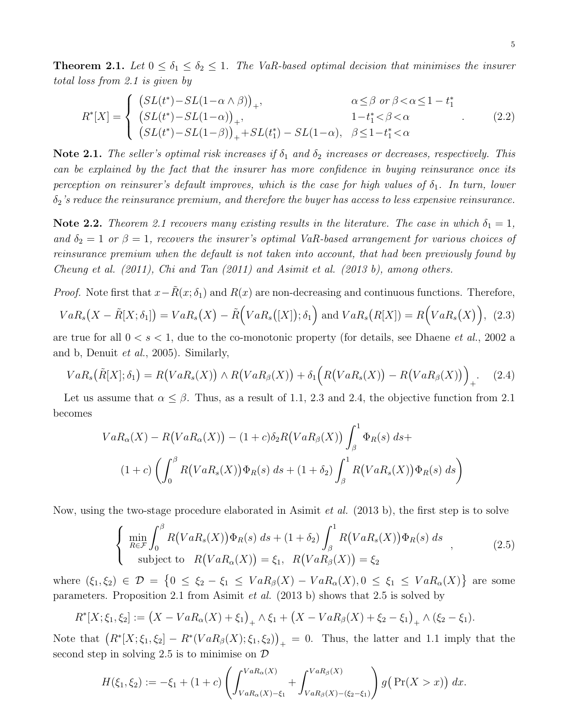**Theorem 2.1.** Let  $0 \le \delta_1 \le \delta_2 \le 1$ . The VaR-based optimal decision that minimises the insurer total loss from 2.1 is given by

$$
R^*[X] = \begin{cases} (SL(t^*) - SL(1 - \alpha \wedge \beta))_+, & \alpha \le \beta \text{ or } \beta < \alpha \le 1 - t_1^* \\ (SL(t^*) - SL(1 - \alpha))_+, & 1 - t_1^* < \beta < \alpha \\ (SL(t^*) - SL(1 - \beta))_+ + SL(t_1^*) - SL(1 - \alpha), & \beta \le 1 - t_1^* < \alpha \end{cases} \tag{2.2}
$$

Note 2.1. The seller's optimal risk increases if  $\delta_1$  and  $\delta_2$  increases or decreases, respectively. This can be explained by the fact that the insurer has more confidence in buying reinsurance once its perception on reinsurer's default improves, which is the case for high values of  $\delta_1$ . In turn, lower  $\delta_2$ 's reduce the reinsurance premium, and therefore the buyer has access to less expensive reinsurance.

Note 2.2. Theorem 2.1 recovers many existing results in the literature. The case in which  $\delta_1 = 1$ , and  $\delta_2 = 1$  or  $\beta = 1$ , recovers the insurer's optimal VaR-based arrangement for various choices of reinsurance premium when the default is not taken into account, that had been previously found by Cheung et al.  $(2011)$ , Chi and Tan  $(2011)$  and Asimit et al.  $(2013 b)$ , among others.

*Proof.* Note first that  $x-\tilde{R}(x;\delta_1)$  and  $R(x)$  are non-decreasing and continuous functions. Therefore,

$$
VaR_s(X - \tilde{R}[X; \delta_1]) = VaR_s(X) - \tilde{R}(VaR_s([X]); \delta_1) \text{ and } VaR_s(R[X]) = R(VaR_s(X)), \text{ (2.3)}
$$

are true for all  $0 < s < 1$ , due to the co-monotonic property (for details, see Dhaene *et al.*, 2002 a and b, Denuit et al., 2005). Similarly,

$$
VaR_s(\tilde{R}[X];\delta_1) = R(VaR_s(X)) \wedge R(VaR_{\beta}(X)) + \delta_1 \Big(R(VaR_s(X)) - R(VaR_{\beta}(X))\Big)_+.
$$
 (2.4)

Let us assume that  $\alpha \leq \beta$ . Thus, as a result of 1.1, 2.3 and 2.4, the objective function from 2.1 becomes

$$
VaR_{\alpha}(X) - R(VaR_{\alpha}(X)) - (1+c)\delta_2R(VaR_{\beta}(X))\int_{\beta}^1 \Phi_R(s) ds +
$$
  

$$
(1+c)\left(\int_0^{\beta} R(VaR_s(X))\Phi_R(s) ds + (1+\delta_2)\int_{\beta}^1 R(VaR_s(X))\Phi_R(s) ds\right)
$$

Now, using the two-stage procedure elaborated in Asimit *et al.* (2013 b), the first step is to solve

$$
\begin{cases}\n\min_{R \in \mathcal{F}} \int_0^\beta R(VaR_s(X))\Phi_R(s) ds + (1+\delta_2) \int_\beta^1 R(VaR_s(X))\Phi_R(s) ds \\
\text{subject to} \quad R(VaR_\alpha(X)) = \xi_1, \quad R(VaR_\beta(X)) = \xi_2\n\end{cases},
$$
\n(2.5)

where  $(\xi_1,\xi_2) \in \mathcal{D} = \{0 \leq \xi_2 - \xi_1 \leq VaR_{\beta}(X) - VaR_{\alpha}(X), 0 \leq \xi_1 \leq VaR_{\alpha}(X)\}$  are some parameters. Proposition 2.1 from Asimit et al. (2013 b) shows that 2.5 is solved by

$$
R^*[X; \xi_1, \xi_2] := (X - VaR_{\alpha}(X) + \xi_1)_+ \wedge \xi_1 + (X - VaR_{\beta}(X) + \xi_2 - \xi_1)_+ \wedge (\xi_2 - \xi_1).
$$

Note that  $(R^*[X; \xi_1, \xi_2] - R^*(VaR_\beta(X); \xi_1, \xi_2)]_+ = 0$ . Thus, the latter and 1.1 imply that the second step in solving 2.5 is to minimise on  $\mathcal D$ 

$$
H(\xi_1, \xi_2) := -\xi_1 + (1+c) \left( \int_{VaR_{\alpha}(X) - \xi_1}^{VaR_{\alpha}(X)} + \int_{VaR_{\beta}(X) - (\xi_2 - \xi_1)}^{VaR_{\beta}(X)} \right) g\left(\Pr(X > x)\right) dx.
$$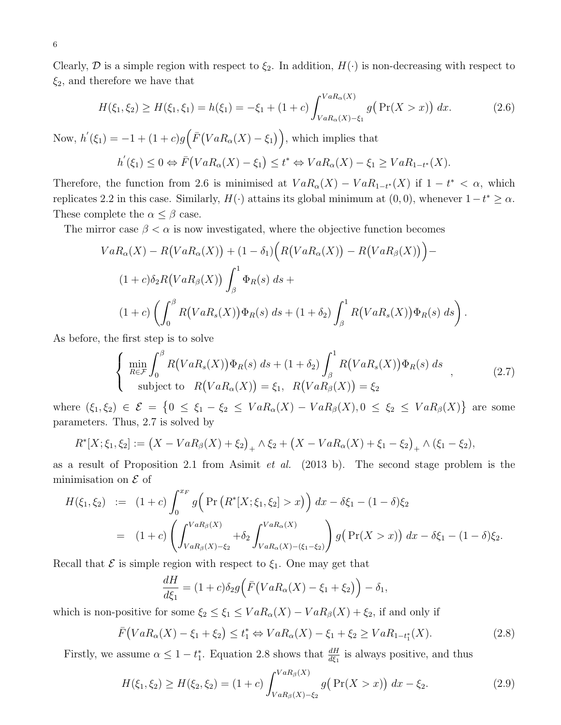Clearly,  $\mathcal D$  is a simple region with respect to  $\xi_2$ . In addition,  $H(\cdot)$  is non-decreasing with respect to  $\xi_2$ , and therefore we have that

$$
H(\xi_1, \xi_2) \ge H(\xi_1, \xi_1) = h(\xi_1) = -\xi_1 + (1+c) \int_{VaR_{\alpha}(X) - \xi_1}^{VaR_{\alpha}(X)} g\big(\Pr(X > x)\big) dx.
$$
 (2.6)

Now,  $h'(\xi_1) = -1 + (1+c)g(\bar{F}(VaR_\alpha(X) - \xi_1)),$  which implies that  $\overline{a}$ 

$$
h'(\xi_1) \leq 0 \Leftrightarrow \overline{F}(VaR_{\alpha}(X) - \xi_1) \leq t^* \Leftrightarrow VaR_{\alpha}(X) - \xi_1 \geq VaR_{1-t^*}(X).
$$

Therefore, the function from 2.6 is minimised at  $VaR_{\alpha}(X) - VaR_{1-t^*}(X)$  if  $1-t^* < \alpha$ , which replicates 2.2 in this case. Similarly,  $H(\cdot)$  attains its global minimum at  $(0,0)$ , whenever  $1-t^* \geq \alpha$ . These complete the  $\alpha \leq \beta$  case.

The mirror case  $\beta < \alpha$  is now investigated, where the objective function becomes

$$
VaR_{\alpha}(X) - R(VaR_{\alpha}(X)) + (1 - \delta_1) \Big( R(VaR_{\alpha}(X)) - R(VaR_{\beta}(X)) \Big) -
$$
  

$$
(1 + c)\delta_2 R(VaR_{\beta}(X)) \int_{\beta}^1 \Phi_R(s) ds +
$$
  

$$
(1 + c) \Big( \int_0^{\beta} R(VaR_s(X)) \Phi_R(s) ds + (1 + \delta_2) \int_{\beta}^1 R(VaR_s(X)) \Phi_R(s) ds \Big).
$$

As before, the first step is to solve

$$
\begin{cases}\n\min_{R \in \mathcal{F}} \int_0^\beta R(VaR_s(X)) \Phi_R(s) ds + (1 + \delta_2) \int_\beta^1 R(VaR_s(X)) \Phi_R(s) ds \\
\text{subject to} \quad R(VaR_\alpha(X)) = \xi_1, \quad R(VaR_\beta(X)) = \xi_2\n\end{cases},
$$
\n(2.7)

where  $(\xi_1, \xi_2) \in \mathcal{E} = \{0 \leq \xi_1 - \xi_2 \leq VaR_{\alpha}(X) - VaR_{\beta}(X), 0 \leq \xi_2 \leq VaR_{\beta}(X)\}\$ are some parameters. Thus, 2.7 is solved by

$$
R^*[X; \xi_1, \xi_2] := (X - VaR_{\beta}(X) + \xi_2)_+ \wedge \xi_2 + (X - VaR_{\alpha}(X) + \xi_1 - \xi_2)_+ \wedge (\xi_1 - \xi_2),
$$

as a result of Proposition 2.1 from Asimit et al. (2013 b). The second stage problem is the minimisation on  $\mathcal E$  of

$$
H(\xi_1, \xi_2) := (1+c) \int_0^{x_F} g\Big( \Pr\big(R^*[X; \xi_1, \xi_2] > x\big) \Big) \, dx - \delta \xi_1 - (1-\delta) \xi_2
$$
\n
$$
= (1+c) \left( \int_{VaR_\beta(X) - \xi_2} VaR_\alpha(X) \right) g\Big( \Pr(X > x) \Big) \, dx - \delta \xi_1 - (1-\delta) \xi_2.
$$

Recall that  $\mathcal E$  is simple region with respect to  $\xi_1$ . One may get that

$$
\frac{dH}{d\xi_1} = (1+c)\delta_2 g\Big(\bar{F}\big(VaR_{\alpha}(X) - \xi_1 + \xi_2\big)\Big) - \delta_1,
$$

which is non-positive for some  $\xi_2 \leq \xi_1 \leq VaR_{\alpha}(X) - VaR_{\beta}(X) + \xi_2$ , if and only if

$$
\bar{F}(VaR_{\alpha}(X) - \xi_1 + \xi_2) \le t_1^* \Leftrightarrow VaR_{\alpha}(X) - \xi_1 + \xi_2 \ge VaR_{1-t_1^*}(X). \tag{2.8}
$$

Firstly, we assume  $\alpha \leq 1 - t_1^*$ . Equation 2.8 shows that  $\frac{dH}{d\xi_1}$  is always positive, and thus

$$
H(\xi_1, \xi_2) \ge H(\xi_2, \xi_2) = (1 + c) \int_{VaR_{\beta}(X) - \xi_2}^{VaR_{\beta}(X)} g\big(\Pr(X > x)\big) dx - \xi_2.
$$
 (2.9)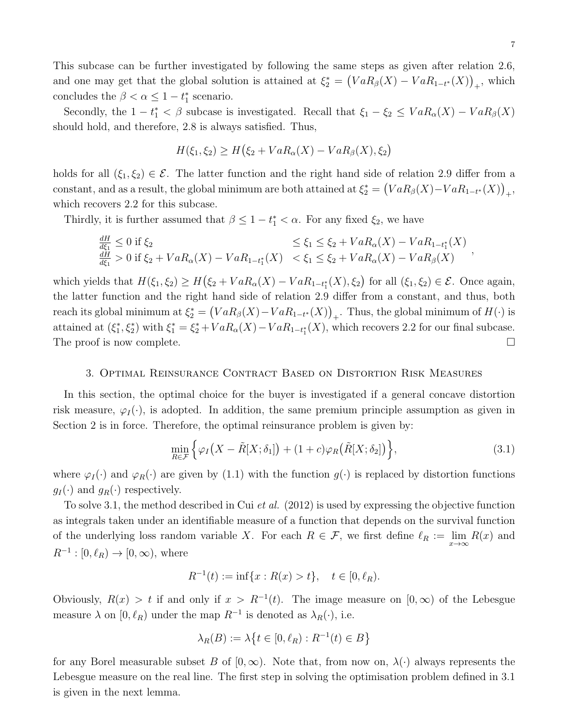This subcase can be further investigated by following the same steps as given after relation 2.6, and one may get that the global solution is attained at  $\xi_2^* = (VaR_\beta(X) - VaR_{1-t^*}(X))_{+}$ , which concludes the  $\beta < \alpha \leq 1 - t_1^*$  scenario.

Secondly, the  $1-t_1^* < \beta$  subcase is investigated. Recall that  $\xi_1 - \xi_2 \leq VaR_{\alpha}(X) - VaR_{\beta}(X)$ should hold, and therefore, 2.8 is always satisfied. Thus,

$$
H(\xi_1, \xi_2) \ge H(\xi_2 + VaR_{\alpha}(X) - VaR_{\beta}(X), \xi_2)
$$

holds for all  $(\xi_1, \xi_2) \in \mathcal{E}$ . The latter function and the right hand side of relation 2.9 differ from a constant, and as a result, the global minimum are both attained at  $\xi_2^* = (VaR_\beta(X) - VaR_{1-t^*}(X))_+,$ which recovers 2.2 for this subcase.

Thirdly, it is further assumed that  $\beta \leq 1 - t_1^* < \alpha$ . For any fixed  $\xi_2$ , we have

$$
\frac{dH}{d\xi_1} \leq 0 \text{ if } \xi_2
$$
\n
$$
\leq \xi_1 \leq \xi_2 + VaR_{\alpha}(X) - VaR_{1-t_1^*}(X)
$$
\n
$$
\frac{dH}{d\xi_1} > 0 \text{ if } \xi_2 + VaR_{\alpha}(X) - VaR_{1-t_1^*}(X) < \xi_1 \leq \xi_2 + VaR_{\alpha}(X) - VaR_{\beta}(X)
$$

which yields that  $H(\xi_1, \xi_2) \ge H(\xi_2 + VaR_{\alpha}(X) - VaR_{1-t_1^*}(X), \xi_2)$  for all  $(\xi_1, \xi_2) \in \mathcal{E}$ . Once again, the latter function and the right hand side of relation 2.9 differ from a constant, and thus, both reach its global minimum at  $\xi_2^* = (VaR_\beta(X) - VaR_{1-t^*}(X))_+$ . Thus, the global minimum of  $H(\cdot)$  is attained at  $(\xi_1^*, \xi_2^*)$  with  $\xi_1^* = \xi_2^* + VaR_{\alpha}(X) - VaR_{1-t_1^*}(X)$ , which recovers 2.2 for our final subcase. The proof is now complete.  $\Box$ 

#### 3. Optimal Reinsurance Contract Based on Distortion Risk Measures

In this section, the optimal choice for the buyer is investigated if a general concave distortion risk measure,  $\varphi_I(\cdot)$ , is adopted. In addition, the same premium principle assumption as given in Section 2 is in force. Therefore, the optimal reinsurance problem is given by:

$$
\min_{R \in \mathcal{F}} \left\{ \varphi_I \big( X - \tilde{R}[X; \delta_1] \big) + (1 + c) \varphi_R \big( \tilde{R}[X; \delta_2] \big) \right\},\tag{3.1}
$$

where  $\varphi_I(\cdot)$  and  $\varphi_R(\cdot)$  are given by (1.1) with the function  $g(\cdot)$  is replaced by distortion functions  $g_I(\cdot)$  and  $g_R(\cdot)$  respectively.

To solve 3.1, the method described in Cui et al. (2012) is used by expressing the objective function as integrals taken under an identifiable measure of a function that depends on the survival function of the underlying loss random variable X. For each  $R \in \mathcal{F}$ , we first define  $\ell_R := \lim_{x \to \infty} R(x)$  and  $R^{-1} : [0, \ell_R) \to [0, \infty)$ , where

$$
R^{-1}(t) := \inf\{x : R(x) > t\}, \quad t \in [0, \ell_R).
$$

Obviously,  $R(x) > t$  if and only if  $x > R^{-1}(t)$ . The image measure on  $[0, \infty)$  of the Lebesgue measure  $\lambda$  on  $[0, \ell_R)$  under the map  $R^{-1}$  is denoted as  $\lambda_R(\cdot)$ , i.e.

$$
\lambda_R(B) := \lambda \big\{ t \in [0, \ell_R) : R^{-1}(t) \in B \big\}
$$

for any Borel measurable subset B of  $[0, \infty)$ . Note that, from now on,  $\lambda(\cdot)$  always represents the Lebesgue measure on the real line. The first step in solving the optimisation problem defined in 3.1 is given in the next lemma.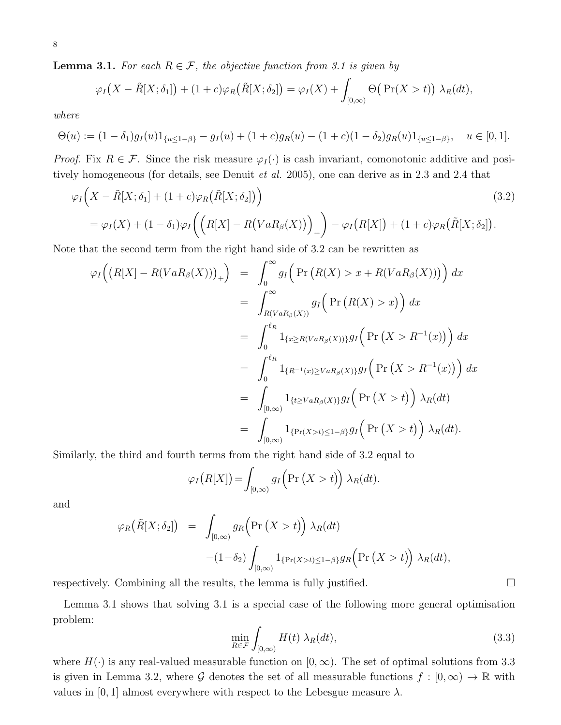**Lemma 3.1.** For each  $R \in \mathcal{F}$ , the objective function from 3.1 is given by

$$
\varphi_I(X - \tilde{R}[X; \delta_1]) + (1 + c)\varphi_R(\tilde{R}[X; \delta_2]) = \varphi_I(X) + \int_{[0,\infty)} \Theta\big(\Pr(X > t)\big) \lambda_R(dt),
$$

where

$$
\Theta(u) := (1 - \delta_1)g_I(u)1_{\{u \le 1 - \beta\}} - g_I(u) + (1 + c)g_R(u) - (1 + c)(1 - \delta_2)g_R(u)1_{\{u \le 1 - \beta\}}, \quad u \in [0, 1].
$$

*Proof.* Fix  $R \in \mathcal{F}$ . Since the risk measure  $\varphi_I(\cdot)$  is cash invariant, comonotonic additive and positively homogeneous (for details, see Denuit et al. 2005), one can derive as in 2.3 and 2.4 that

$$
\varphi_I\Big(X - \tilde{R}[X;\delta_1] + (1+c)\varphi_R\big(\tilde{R}[X;\delta_2]\big)\Big) \tag{3.2}
$$
\n
$$
= \varphi_I(X) + (1-\delta_1)\varphi_I\Big(\Big(R[X] - R\big(VaR_{\beta}(X)\big)\Big)_+\Big) - \varphi_I\big(R[X]\big) + (1+c)\varphi_R\big(\tilde{R}[X;\delta_2]\big).
$$

Note that the second term from the right hand side of 3.2 can be rewritten as

$$
\varphi_I\Big(\big(R[X] - R(VaR_\beta(X))\big)_+\Big) = \int_0^\infty g_I\Big(\Pr\big(R(X) > x + R(VaR_\beta(X))\big)\Big) \, dx
$$
\n
$$
= \int_{R(VaR_\beta(X))}^\infty g_I\Big(\Pr\big(R(X) > x\big)\Big) \, dx
$$
\n
$$
= \int_0^{\ell_R} 1_{\{x \ge R(VaR_\beta(X))\}} g_I\Big(\Pr\big(X > R^{-1}(x)\big)\Big) \, dx
$$
\n
$$
= \int_0^{\ell_R} 1_{\{R^{-1}(x) \ge VaR_\beta(X)\}} g_I\Big(\Pr\big(X > R^{-1}(x)\big)\Big) \, dx
$$
\n
$$
= \int_{[0,\infty)} 1_{\{t \ge VaR_\beta(X)\}} g_I\Big(\Pr\big(X > t\big)\Big) \, \lambda_R(dt)
$$
\n
$$
= \int_{[0,\infty)} 1_{\{Pr(X > t) \le 1 - \beta\}} g_I\Big(\Pr\big(X > t\big)\Big) \, \lambda_R(dt).
$$

Similarly, the third and fourth terms from the right hand side of 3.2 equal to

$$
\varphi_I\big(R[X]\big) = \int_{[0,\infty)} g_I\big(\Pr\big(X > t\big)\big) \lambda_R(dt).
$$

and

$$
\varphi_R\big(\tilde{R}[X;\delta_2]\big) = \int_{[0,\infty)} g_R\big(\Pr\big(X>t\big)\big) \,\lambda_R(dt) - (1-\delta_2) \int_{[0,\infty)} 1_{\{Pr(X>t) \le 1-\beta\}} g_R\big(\Pr\big(X>t\big)\big) \,\lambda_R(dt),
$$

respectively. Combining all the results, the lemma is fully justified.

Lemma 3.1 shows that solving 3.1 is a special case of the following more general optimisation problem:

$$
\min_{R \in \mathcal{F}} \int_{[0,\infty)} H(t) \; \lambda_R(dt),\tag{3.3}
$$

where  $H(\cdot)$  is any real-valued measurable function on  $[0, \infty)$ . The set of optimal solutions from 3.3 is given in Lemma 3.2, where G denotes the set of all measurable functions  $f : [0, \infty) \to \mathbb{R}$  with values in [0, 1] almost everywhere with respect to the Lebesgue measure  $\lambda$ .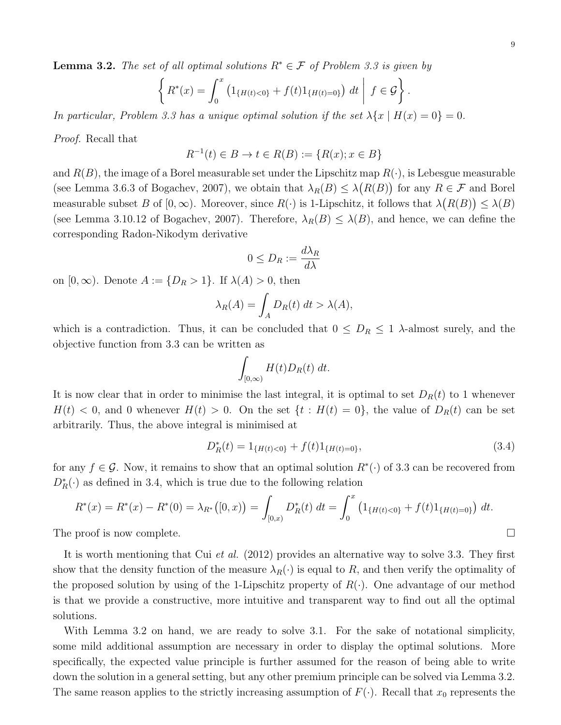**Lemma 3.2.** The set of all optimal solutions  $R^* \in \mathcal{F}$  of Problem 3.3 is given by

$$
\left\{ R^*(x) = \int_0^x \left( 1_{\{H(t) < 0\}} + f(t) 1_{\{H(t) = 0\}} \right) \, dt \middle| f \in \mathcal{G} \right\}.
$$

In particular, Problem 3.3 has a unique optimal solution if the set  $\lambda \{x \mid H(x) = 0\} = 0$ .

Proof. Recall that

$$
R^{-1}(t) \in B \to t \in R(B) := \{ R(x); x \in B \}
$$

and  $R(B)$ , the image of a Borel measurable set under the Lipschitz map  $R(\cdot)$ , is Lebesgue measurable (see Lemma 3.6.3 of Bogachev, 2007), we obtain that  $\lambda_R(B) \leq \lambda(R(B))$  for any  $R \in \mathcal{F}$  and Borel measurable subset B of  $[0, \infty)$ . Moreover, since  $R(\cdot)$  is 1-Lipschitz, it follows that  $\lambda(R(B)) \leq \lambda(B)$ (see Lemma 3.10.12 of Bogachev, 2007). Therefore,  $\lambda_R(B) \leq \lambda(B)$ , and hence, we can define the corresponding Radon-Nikodym derivative

$$
0 \le D_R := \frac{d\lambda_R}{d\lambda}
$$

on  $[0, \infty)$ . Denote  $A := \{D_R > 1\}$ . If  $\lambda(A) > 0$ , then

$$
\lambda_R(A) = \int_A D_R(t) \, dt > \lambda(A),
$$

which is a contradiction. Thus, it can be concluded that  $0 \leq D_R \leq 1$   $\lambda$ -almost surely, and the objective function from 3.3 can be written as

$$
\int_{[0,\infty)} H(t) D_R(t) dt.
$$

It is now clear that in order to minimise the last integral, it is optimal to set  $D_R(t)$  to 1 whenever  $H(t) < 0$ , and 0 whenever  $H(t) > 0$ . On the set  $\{t : H(t) = 0\}$ , the value of  $D_R(t)$  can be set arbitrarily. Thus, the above integral is minimised at

$$
D_R^*(t) = 1_{\{H(t) < 0\}} + f(t)1_{\{H(t) = 0\}},\tag{3.4}
$$

for any  $f \in \mathcal{G}$ . Now, it remains to show that an optimal solution  $R^*(\cdot)$  of 3.3 can be recovered from  $D_R^*(\cdot)$  as defined in 3.4, which is true due to the following relation

$$
R^*(x) = R^*(x) - R^*(0) = \lambda_{R^*}([0, x)) = \int_{[0, x)} D_R^*(t) dt = \int_0^x \left(1_{\{H(t) < 0\}} + f(t)1_{\{H(t) = 0\}}\right) dt.
$$
\nThe proof is now complete.

It is worth mentioning that Cui et al. (2012) provides an alternative way to solve 3.3. They first show that the density function of the measure  $\lambda_R(\cdot)$  is equal to R, and then verify the optimality of the proposed solution by using of the 1-Lipschitz property of  $R(\cdot)$ . One advantage of our method is that we provide a constructive, more intuitive and transparent way to find out all the optimal solutions.

With Lemma 3.2 on hand, we are ready to solve 3.1. For the sake of notational simplicity, some mild additional assumption are necessary in order to display the optimal solutions. More specifically, the expected value principle is further assumed for the reason of being able to write down the solution in a general setting, but any other premium principle can be solved via Lemma 3.2. The same reason applies to the strictly increasing assumption of  $F(\cdot)$ . Recall that  $x_0$  represents the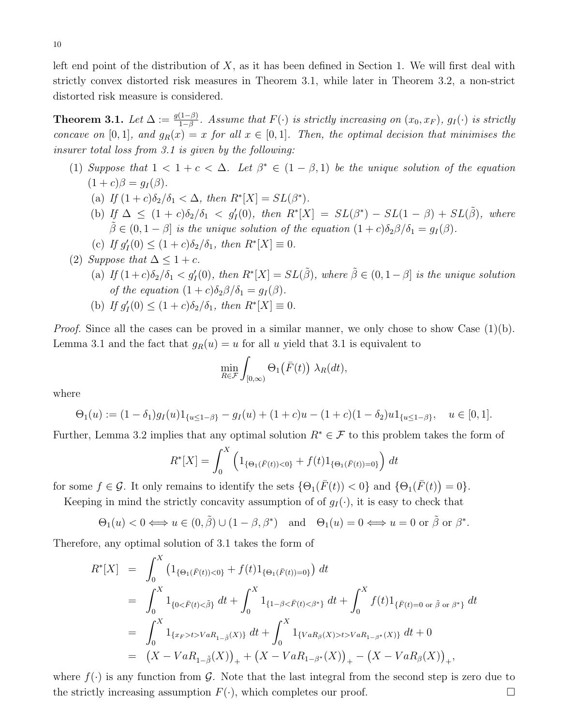left end point of the distribution of  $X$ , as it has been defined in Section 1. We will first deal with strictly convex distorted risk measures in Theorem 3.1, while later in Theorem 3.2, a non-strict distorted risk measure is considered.

**Theorem 3.1.** Let  $\Delta := \frac{g(1-\beta)}{1-\beta}$ . Assume that  $F(\cdot)$  is strictly increasing on  $(x_0, x_F)$ ,  $g_I(\cdot)$  is strictly concave on [0, 1], and  $g_R(x) = x$  for all  $x \in [0, 1]$ . Then, the optimal decision that minimises the insurer total loss from 3.1 is given by the following:

- (1) Suppose that  $1 < 1 + c < \Delta$ . Let  $\beta^* \in (1 \beta, 1)$  be the unique solution of the equation  $(1+c)\beta = q_I(\beta)$ .
	- (a) If  $(1 + c)\delta_2/\delta_1 < \Delta$ , then  $R^*[X] = SL(\beta^*)$ .
	- (b) If  $\Delta \leq (1+c)\delta_2/\delta_1 < g'_I(0)$ , then  $R^*[X] = SL(\beta^*) SL(1-\beta) + SL(\tilde{\beta})$ , where  $\tilde{\beta} \in (0, 1 - \beta]$  is the unique solution of the equation  $(1 + c)\delta_2\beta/\delta_1 = g_I(\beta)$ .
	- (c) If  $g'_I(0) \le (1+c)\delta_2/\delta_1$ , then  $R^*[X] \equiv 0$ .
- (2) Suppose that  $\Delta \leq 1+c$ .
	- (a) If  $(1+c)\delta_2/\delta_1 < g_I'(0)$ , then  $R^*[X] = SL(\tilde{\beta})$ , where  $\tilde{\beta} \in (0,1-\beta]$  is the unique solution of the equation  $(1 + c)\delta_2\beta/\delta_1 = g_I(\beta)$ .
	- (b) If  $g'_I(0) \le (1+c)\delta_2/\delta_1$ , then  $R^*[X] \equiv 0$ .

*Proof.* Since all the cases can be proved in a similar manner, we only chose to show Case  $(1)(b)$ . Lemma 3.1 and the fact that  $g_R(u) = u$  for all u yield that 3.1 is equivalent to

$$
\min_{R \in \mathcal{F}} \int_{[0,\infty)} \Theta_1(\bar{F}(t)) \; \lambda_R(dt),
$$

where

$$
\Theta_1(u) := (1 - \delta_1)g_I(u)1_{\{u \le 1 - \beta\}} - g_I(u) + (1 + c)u - (1 + c)(1 - \delta_2)u1_{\{u \le 1 - \beta\}}, \quad u \in [0, 1].
$$

Further, Lemma 3.2 implies that any optimal solution  $R^* \in \mathcal{F}$  to this problem takes the form of

$$
R^*[X] = \int_0^X \left(1_{\{\Theta_1(\bar{F}(t)) < 0\}} + f(t)1_{\{\Theta_1(\bar{F}(t)) = 0\}}\right) dt
$$

for some  $f \in \mathcal{G}$ . It only remains to identify the sets  $\{\Theta_1(\bar{F}(t)) < 0\}$  and  $\{\Theta_1(\bar{F}(t)) = 0\}$ .

Keeping in mind the strictly concavity assumption of of  $g_I(\cdot)$ , it is easy to check that

$$
\Theta_1(u) < 0 \Longleftrightarrow u \in (0, \tilde{\beta}) \cup (1 - \beta, \beta^*) \quad \text{and} \quad \Theta_1(u) = 0 \Longleftrightarrow u = 0 \text{ or } \tilde{\beta} \text{ or } \beta^*.
$$

Therefore, any optimal solution of 3.1 takes the form of

$$
R^*[X] = \int_0^X \left(1_{\{\Theta_1(\bar{F}(t)) < 0\}} + f(t)1_{\{\Theta_1(\bar{F}(t)) = 0\}}\right) dt
$$
\n
$$
= \int_0^X 1_{\{0 < \bar{F}(t) < \tilde{\beta}\}} dt + \int_0^X 1_{\{1 - \beta < \bar{F}(t) < \beta^*\}} dt + \int_0^X f(t)1_{\{\bar{F}(t) = 0 \text{ or } \tilde{\beta} \text{ or } \beta^*\}} dt
$$
\n
$$
= \int_0^X 1_{\{x_F > t > VaR_{1-\tilde{\beta}}(X)\}} dt + \int_0^X 1_{\{VaR_{\beta}(X) > t > VaR_{1-\beta^*}(X)\}} dt + 0
$$
\n
$$
= (X - VaR_{1-\tilde{\beta}}(X))_+ + (X - VaR_{1-\beta^*}(X))_+ - (X - VaR_{\beta}(X))_+,
$$

where  $f(\cdot)$  is any function from G. Note that the last integral from the second step is zero due to the strictly increasing assumption  $F(\cdot)$ , which completes our proof.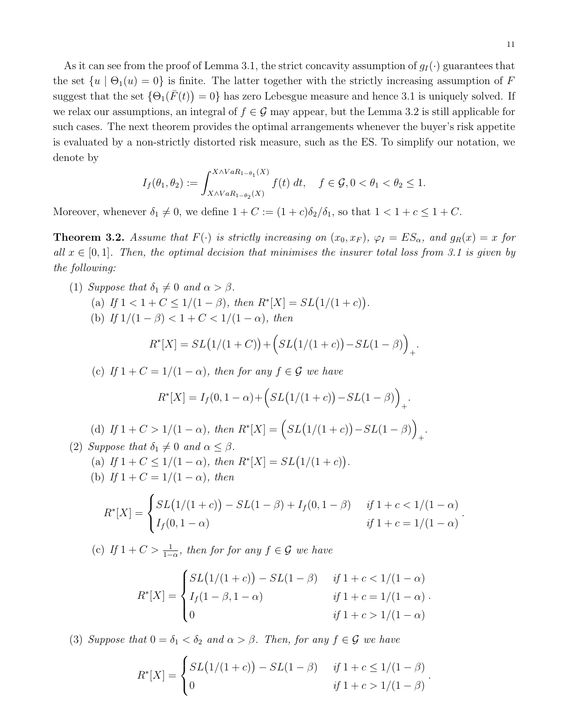As it can see from the proof of Lemma 3.1, the strict concavity assumption of  $g_I(\cdot)$  guarantees that the set  $\{u \mid \Theta_1(u) = 0\}$  is finite. The latter together with the strictly increasing assumption of F suggest that the set  $\{\Theta_1(\bar{F}(t))=0\}$  has zero Lebesgue measure and hence 3.1 is uniquely solved. If we relax our assumptions, an integral of  $f \in \mathcal{G}$  may appear, but the Lemma 3.2 is still applicable for such cases. The next theorem provides the optimal arrangements whenever the buyer's risk appetite is evaluated by a non-strictly distorted risk measure, such as the ES. To simplify our notation, we denote by

$$
I_f(\theta_1, \theta_2) := \int_{X \wedge VaR_{1-\theta_2}(X)}^{X \wedge VaR_{1-\theta_1}(X)} f(t) \, dt, \quad f \in \mathcal{G}, 0 < \theta_1 < \theta_2 \le 1.
$$

Moreover, whenever  $\delta_1 \neq 0$ , we define  $1 + C := (1 + c)\delta_2/\delta_1$ , so that  $1 < 1 + c \leq 1 + C$ .

**Theorem 3.2.** Assume that  $F(\cdot)$  is strictly increasing on  $(x_0, x_F)$ ,  $\varphi_I = ES_\alpha$ , and  $g_R(x) = x$  for all  $x \in [0, 1]$ . Then, the optimal decision that minimises the insurer total loss from 3.1 is given by the following:

(1) Suppose that  $\delta_1 \neq 0$  and  $\alpha > \beta$ . (a) If  $1 < 1 + C \leq 1/(1 - \beta)$ , then  $R^*[X] = SL(1/(1 + c))$ . (b) If  $1/(1 - \beta) < 1 + C < 1/(1 - \alpha)$ , then

$$
R^*[X] = SL(1/(1+C)) + (SL(1/(1+c)) - SL(1-\beta))_+.
$$

(c) If  $1 + C = 1/(1 - \alpha)$ , then for any  $f \in \mathcal{G}$  we have

$$
R^*[X] = I_f(0, 1 - \alpha) + \left(SL(1/(1 + c)) - SL(1 - \beta)\right)_+.
$$

(d) If  $1 + C > 1/(1 - \alpha)$ , then  $R^*[X] = (SL(1/(1+c)) - SL(1-\beta))$ + .

- (2) Suppose that  $\delta_1 \neq 0$  and  $\alpha \leq \beta$ .
	- (a) If  $1 + C \leq 1/(1 \alpha)$ , then  $R^*[X] = SL(1/(1 + c))$ .
	- (b) If  $1 + C = 1/(1 \alpha)$ , then

$$
R^*[X] = \begin{cases} SL(1/(1+c)) - SL(1-\beta) + I_f(0,1-\beta) & \text{if } 1+c < 1/(1-\alpha) \\ I_f(0,1-\alpha) & \text{if } 1+c = 1/(1-\alpha) \end{cases}.
$$

(c) If  $1+C > \frac{1}{1-\alpha}$ , then for for any  $f \in \mathcal{G}$  we have

$$
R^*[X] = \begin{cases} SL\left(1/(1+c)\right) - SL(1-\beta) & \text{if } 1+c < 1/(1-\alpha) \\ I_f(1-\beta, 1-\alpha) & \text{if } 1+c = 1/(1-\alpha) \\ 0 & \text{if } 1+c > 1/(1-\alpha) \end{cases}
$$

(3) Suppose that  $0 = \delta_1 < \delta_2$  and  $\alpha > \beta$ . Then, for any  $f \in \mathcal{G}$  we have

$$
R^*[X] = \begin{cases} SL(1/(1+c)) - SL(1-\beta) & \text{if } 1+c \le 1/(1-\beta) \\ 0 & \text{if } 1+c > 1/(1-\beta) \end{cases}.
$$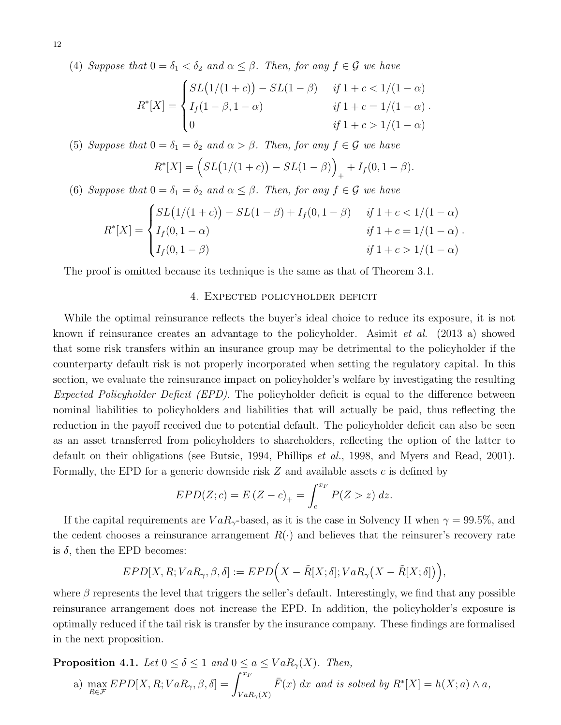(4) Suppose that  $0 = \delta_1 < \delta_2$  and  $\alpha \leq \beta$ . Then, for any  $f \in \mathcal{G}$  we have

$$
R^*[X] = \begin{cases} SL(1/(1+c)) - SL(1-\beta) & \text{if } 1+c < 1/(1-\alpha) \\ I_f(1-\beta, 1-\alpha) & \text{if } 1+c = 1/(1-\alpha) \\ 0 & \text{if } 1+c > 1/(1-\alpha) \end{cases}
$$

(5) Suppose that  $0 = \delta_1 = \delta_2$  and  $\alpha > \beta$ . Then, for any  $f \in \mathcal{G}$  we have

$$
R^*[X] = (SL(1/(1+c)) - SL(1-\beta))_+ + I_f(0,1-\beta).
$$

(6) Suppose that  $0 = \delta_1 = \delta_2$  and  $\alpha \leq \beta$ . Then, for any  $f \in \mathcal{G}$  we have

$$
R^*[X] = \begin{cases} SL(1/(1+c)) - SL(1-\beta) + I_f(0,1-\beta) & \text{if } 1+c < 1/(1-\alpha) \\ I_f(0,1-\alpha) & \text{if } 1+c = 1/(1-\alpha) \\ I_f(0,1-\beta) & \text{if } 1+c > 1/(1-\alpha) \end{cases}
$$

The proof is omitted because its technique is the same as that of Theorem 3.1.

#### 4. Expected policyholder deficit

While the optimal reinsurance reflects the buyer's ideal choice to reduce its exposure, it is not known if reinsurance creates an advantage to the policyholder. Asimit et al. (2013 a) showed that some risk transfers within an insurance group may be detrimental to the policyholder if the counterparty default risk is not properly incorporated when setting the regulatory capital. In this section, we evaluate the reinsurance impact on policyholder's welfare by investigating the resulting Expected Policyholder Deficit (EPD). The policyholder deficit is equal to the difference between nominal liabilities to policyholders and liabilities that will actually be paid, thus reflecting the reduction in the payoff received due to potential default. The policyholder deficit can also be seen as an asset transferred from policyholders to shareholders, reflecting the option of the latter to default on their obligations (see Butsic, 1994, Phillips et al., 1998, and Myers and Read, 2001). Formally, the EPD for a generic downside risk  $Z$  and available assets  $c$  is defined by

$$
EPD(Z; c) = E(Z - c)_{+} = \int_{c}^{x_F} P(Z > z) \, dz.
$$

If the capital requirements are  $VaR_{\gamma}$ -based, as it is the case in Solvency II when  $\gamma = 99.5\%$ , and the cedent chooses a reinsurance arrangement  $R(\cdot)$  and believes that the reinsurer's recovery rate is  $\delta$ , then the EPD becomes:

$$
EPD[X, R; VaR_{\gamma}, \beta, \delta] := EPD\Big(X - \tilde{R}[X; \delta]; VaR_{\gamma}\big(X - \tilde{R}[X; \delta]\big)\Big),\,
$$

where  $\beta$  represents the level that triggers the seller's default. Interestingly, we find that any possible reinsurance arrangement does not increase the EPD. In addition, the policyholder's exposure is optimally reduced if the tail risk is transfer by the insurance company. These findings are formalised in the next proposition.

**Proposition 4.1.** Let  $0 \le \delta \le 1$  and  $0 \le a \le VaR_{\gamma}(X)$ . Then,

a) 
$$
\max_{R \in \mathcal{F}} EPD[X, R; VaR_{\gamma}, \beta, \delta] = \int_{VaR_{\gamma}(X)}^{x_F} \overline{F}(x) dx
$$
 and is solved by  $R^*[X] = h(X; a) \wedge a$ ,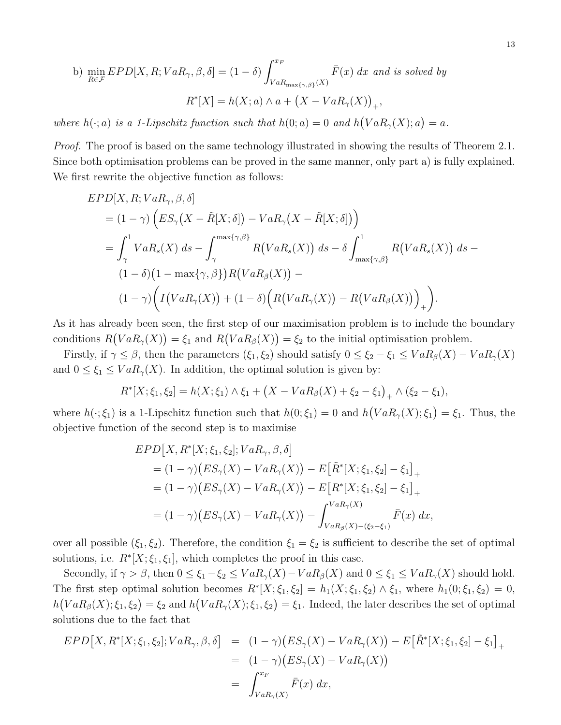b) 
$$
\min_{R \in \mathcal{F}} EPD[X, R; VaR_{\gamma}, \beta, \delta] = (1 - \delta) \int_{VaR_{\max{\gamma, \beta}}(X)}^{x_F} \overline{F}(x) dx \text{ and is solved by}
$$

$$
R^*[X] = h(X; a) \wedge a + (X - VaR_{\gamma}(X))_+,
$$

where  $h(\cdot; a)$  is a 1-Lipschitz function such that  $h(0; a) = 0$  and  $h(VaR_{\gamma}(X); a) = a$ .

Proof. The proof is based on the same technology illustrated in showing the results of Theorem 2.1. Since both optimisation problems can be proved in the same manner, only part a) is fully explained. We first rewrite the objective function as follows:

$$
EPD[X, R; VaR_{\gamma}, \beta, \delta]
$$
  
=  $(1 - \gamma) \left( ES_{\gamma} (X - \tilde{R}[X; \delta]) - VaR_{\gamma} (X - \tilde{R}[X; \delta]) \right)$   
=  $\int_{\gamma}^{1} VaR_{s}(X) ds - \int_{\gamma}^{\max\{\gamma, \beta\}} R(VaR_{s}(X)) ds - \delta \int_{\max\{\gamma, \beta\}}^{1} R(VaR_{s}(X)) ds -$   
 $(1 - \delta)(1 - \max\{\gamma, \beta\})R(VaR_{\beta}(X)) -$   
 $(1 - \gamma) \left( I(VaR_{\gamma}(X)) + (1 - \delta) \left( R(VaR_{\gamma}(X)) - R(VaR_{\beta}(X)) \right)_{+} \right).$ 

As it has already been seen, the first step of our maximisation problem is to include the boundary conditions  $R(VaR_{\gamma}(X)) = \xi_1$  and  $R(VaR_{\beta}(X)) = \xi_2$  to the initial optimisation problem.

Firstly, if  $\gamma \leq \beta$ , then the parameters  $(\xi_1, \xi_2)$  should satisfy  $0 \leq \xi_2 - \xi_1 \leq VaR_{\beta}(X) - VaR_{\gamma}(X)$ and  $0 \leq \xi_1 \leq VaR_{\gamma}(X)$ . In addition, the optimal solution is given by:

$$
R^*[X; \xi_1, \xi_2] = h(X; \xi_1) \wedge \xi_1 + (X - VaR_{\beta}(X) + \xi_2 - \xi_1)_+ \wedge (\xi_2 - \xi_1),
$$

where  $h(\cdot;\xi_1)$  is a 1-Lipschitz function such that  $h(0;\xi_1) = 0$  and  $h(VaR_{\gamma}(X);\xi_1) = \xi_1$ . Thus, the objective function of the second step is to maximise

$$
EPD[X, R^*[X; \xi_1, \xi_2]; VaR_{\gamma}, \beta, \delta]
$$
  
=  $(1 - \gamma)(ES_{\gamma}(X) - VaR_{\gamma}(X)) - E[\tilde{R}^*[X; \xi_1, \xi_2] - \xi_1]_+$   
=  $(1 - \gamma)(ES_{\gamma}(X) - VaR_{\gamma}(X)) - E[R^*[X; \xi_1, \xi_2] - \xi_1]_+$   
=  $(1 - \gamma)(ES_{\gamma}(X) - VaR_{\gamma}(X)) - \int_{VaR_{\beta}(X) - (\xi_2 - \xi_1)}^{VaR_{\gamma}(X)} \bar{F}(x) dx,$ 

over all possible  $(\xi_1, \xi_2)$ . Therefore, the condition  $\xi_1 = \xi_2$  is sufficient to describe the set of optimal solutions, i.e.  $R^*[X; \xi_1, \xi_1]$ , which completes the proof in this case.

Secondly, if  $\gamma > \beta$ , then  $0 \le \xi_1 - \xi_2 \le VaR_{\gamma}(X) - VaR_{\beta}(X)$  and  $0 \le \xi_1 \le VaR_{\gamma}(X)$  should hold. The first step optimal solution becomes  $R^*[X; \xi_1, \xi_2] = h_1(X; \xi_1, \xi_2) \wedge \xi_1$ , where  $h_1(0; \xi_1, \xi_2) = 0$ ,  $h(VaR_{\beta}(X); \xi_1, \xi_2) = \xi_2$  and  $h(VaR_{\gamma}(X); \xi_1, \xi_2) = \xi_1$ . Indeed, the later describes the set of optimal solutions due to the fact that

$$
EPD[X, R^*[X; \xi_1, \xi_2]; VaR_{\gamma}, \beta, \delta] = (1 - \gamma)(ES_{\gamma}(X) - VaR_{\gamma}(X)) - E[\tilde{R}^*[X; \xi_1, \xi_2] - \xi_1]_{+}
$$
  

$$
= (1 - \gamma)(ES_{\gamma}(X) - VaR_{\gamma}(X))
$$
  

$$
= \int_{VaR_{\gamma}(X)}^{x_F} \bar{F}(x) dx,
$$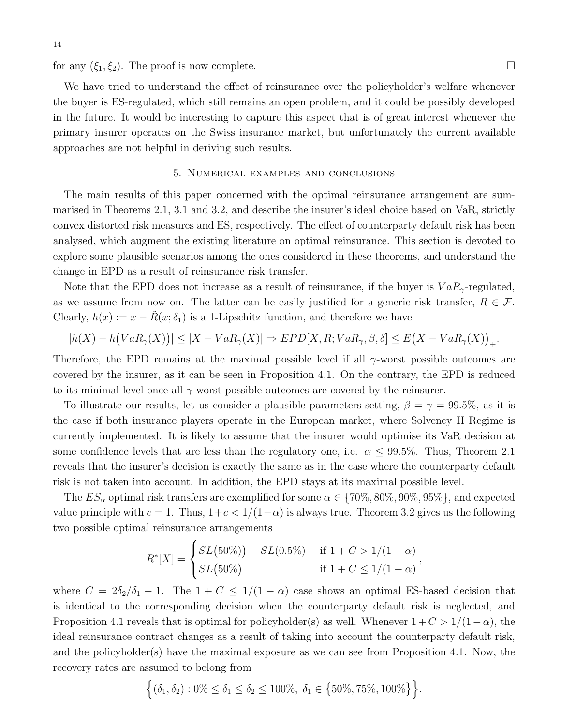for any  $(\xi_1, \xi_2)$ . The proof is now complete.

We have tried to understand the effect of reinsurance over the policyholder's welfare whenever the buyer is ES-regulated, which still remains an open problem, and it could be possibly developed in the future. It would be interesting to capture this aspect that is of great interest whenever the primary insurer operates on the Swiss insurance market, but unfortunately the current available approaches are not helpful in deriving such results.

#### 5. Numerical examples and conclusions

The main results of this paper concerned with the optimal reinsurance arrangement are summarised in Theorems 2.1, 3.1 and 3.2, and describe the insurer's ideal choice based on VaR, strictly convex distorted risk measures and ES, respectively. The effect of counterparty default risk has been analysed, which augment the existing literature on optimal reinsurance. This section is devoted to explore some plausible scenarios among the ones considered in these theorems, and understand the change in EPD as a result of reinsurance risk transfer.

Note that the EPD does not increase as a result of reinsurance, if the buyer is  $VaR_{\gamma}$ -regulated, as we assume from now on. The latter can be easily justified for a generic risk transfer,  $R \in \mathcal{F}$ . Clearly,  $h(x) := x - \tilde{R}(x; \delta_1)$  is a 1-Lipschitz function, and therefore we have

$$
|h(X) - h\big( VaR_{\gamma}(X)\big)| \le |X - VaR_{\gamma}(X)| \Rightarrow EPD[X, R; VaR_{\gamma}, \beta, \delta] \le E\big(X - VaR_{\gamma}(X)\big)_{+}.
$$

Therefore, the EPD remains at the maximal possible level if all  $\gamma$ -worst possible outcomes are covered by the insurer, as it can be seen in Proposition 4.1. On the contrary, the EPD is reduced to its minimal level once all  $\gamma$ -worst possible outcomes are covered by the reinsurer.

To illustrate our results, let us consider a plausible parameters setting,  $\beta = \gamma = 99.5\%$ , as it is the case if both insurance players operate in the European market, where Solvency II Regime is currently implemented. It is likely to assume that the insurer would optimise its VaR decision at some confidence levels that are less than the regulatory one, i.e.  $\alpha \leq 99.5\%$ . Thus, Theorem 2.1 reveals that the insurer's decision is exactly the same as in the case where the counterparty default risk is not taken into account. In addition, the EPD stays at its maximal possible level.

The  $ES_{\alpha}$  optimal risk transfers are exemplified for some  $\alpha \in \{70\%, 80\%, 90\%, 95\%\},$  and expected value principle with  $c = 1$ . Thus,  $1+c < 1/(1-\alpha)$  is always true. Theorem 3.2 gives us the following two possible optimal reinsurance arrangements

$$
R^*[X] = \begin{cases} SL(50\%) - SL(0.5\%) & \text{if } 1 + C > 1/(1 - \alpha) \\ SL(50\%) & \text{if } 1 + C \le 1/(1 - \alpha) \end{cases}
$$

where  $C = 2\delta_2/\delta_1 - 1$ . The  $1 + C \leq 1/(1 - \alpha)$  case shows an optimal ES-based decision that is identical to the corresponding decision when the counterparty default risk is neglected, and Proposition 4.1 reveals that is optimal for policyholder(s) as well. Whenever  $1+C > 1/(1-\alpha)$ , the ideal reinsurance contract changes as a result of taking into account the counterparty default risk, and the policyholder(s) have the maximal exposure as we can see from Proposition 4.1. Now, the recovery rates are assumed to belong from

$$
\left\{ (\delta_1, \delta_2) : 0\% \le \delta_1 \le \delta_2 \le 100\%, \delta_1 \in \{50\%, 75\%, 100\%\} \right\}.
$$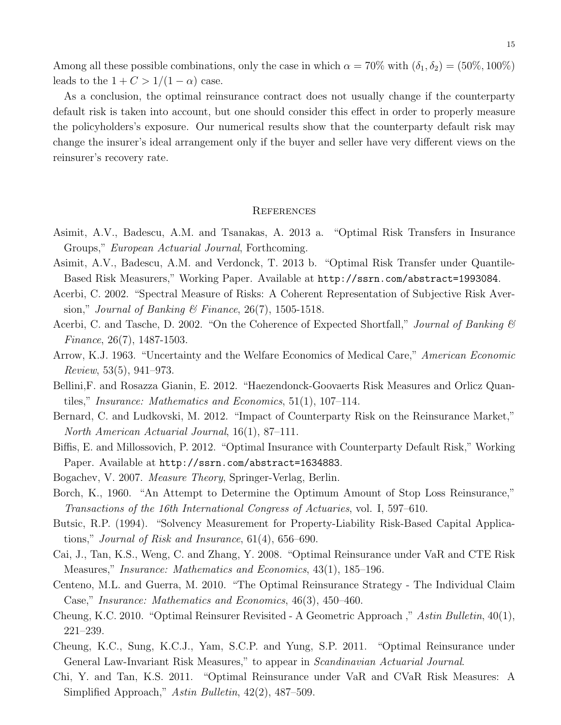Among all these possible combinations, only the case in which  $\alpha = 70\%$  with  $(\delta_1, \delta_2) = (50\%, 100\%)$ leads to the  $1 + C > 1/(1 - \alpha)$  case.

As a conclusion, the optimal reinsurance contract does not usually change if the counterparty default risk is taken into account, but one should consider this effect in order to properly measure the policyholders's exposure. Our numerical results show that the counterparty default risk may change the insurer's ideal arrangement only if the buyer and seller have very different views on the reinsurer's recovery rate.

#### **REFERENCES**

- Asimit, A.V., Badescu, A.M. and Tsanakas, A. 2013 a. "Optimal Risk Transfers in Insurance Groups," European Actuarial Journal, Forthcoming.
- Asimit, A.V., Badescu, A.M. and Verdonck, T. 2013 b. "Optimal Risk Transfer under Quantile-Based Risk Measurers," Working Paper. Available at http://ssrn.com/abstract=1993084.
- Acerbi, C. 2002. "Spectral Measure of Risks: A Coherent Representation of Subjective Risk Aversion," Journal of Banking  $\mathcal B$  Finance, 26(7), 1505-1518.
- Acerbi, C. and Tasche, D. 2002. "On the Coherence of Expected Shortfall," Journal of Banking  $\mathcal{B}$ Finance, 26(7), 1487-1503.
- Arrow, K.J. 1963. "Uncertainty and the Welfare Economics of Medical Care," American Economic Review, 53(5), 941–973.
- Bellini,F. and Rosazza Gianin, E. 2012. "Haezendonck-Goovaerts Risk Measures and Orlicz Quantiles," Insurance: Mathematics and Economics, 51(1), 107–114.
- Bernard, C. and Ludkovski, M. 2012. "Impact of Counterparty Risk on the Reinsurance Market," North American Actuarial Journal, 16(1), 87–111.
- Biffis, E. and Millossovich, P. 2012. "Optimal Insurance with Counterparty Default Risk," Working Paper. Available at http://ssrn.com/abstract=1634883.
- Bogachev, V. 2007. Measure Theory, Springer-Verlag, Berlin.
- Borch, K., 1960. "An Attempt to Determine the Optimum Amount of Stop Loss Reinsurance," Transactions of the 16th International Congress of Actuaries, vol. I, 597–610.
- Butsic, R.P. (1994). "Solvency Measurement for Property-Liability Risk-Based Capital Applications," Journal of Risk and Insurance, 61(4), 656–690.
- Cai, J., Tan, K.S., Weng, C. and Zhang, Y. 2008. "Optimal Reinsurance under VaR and CTE Risk Measures," Insurance: Mathematics and Economics, 43(1), 185–196.
- Centeno, M.L. and Guerra, M. 2010. "The Optimal Reinsurance Strategy The Individual Claim Case," Insurance: Mathematics and Economics, 46(3), 450–460.
- Cheung, K.C. 2010. "Optimal Reinsurer Revisited A Geometric Approach ," Astin Bulletin, 40(1), 221–239.
- Cheung, K.C., Sung, K.C.J., Yam, S.C.P. and Yung, S.P. 2011. "Optimal Reinsurance under General Law-Invariant Risk Measures," to appear in Scandinavian Actuarial Journal.
- Chi, Y. and Tan, K.S. 2011. "Optimal Reinsurance under VaR and CVaR Risk Measures: A Simplified Approach," Astin Bulletin, 42(2), 487–509.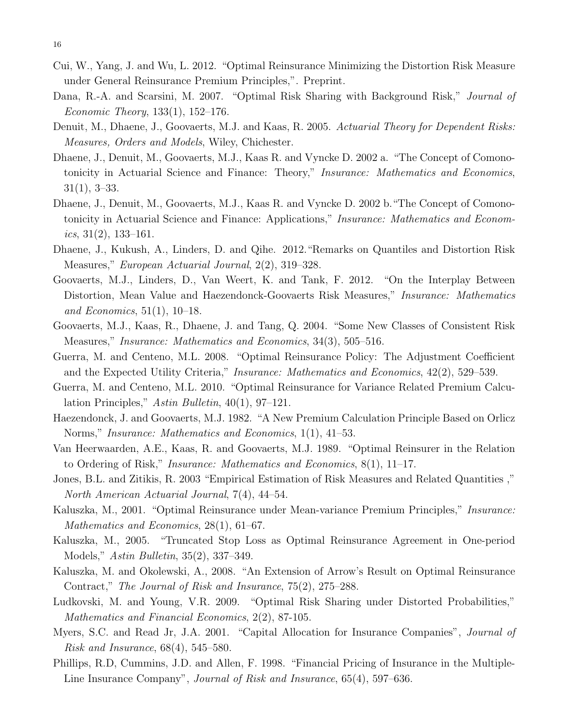- Cui, W., Yang, J. and Wu, L. 2012. "Optimal Reinsurance Minimizing the Distortion Risk Measure under General Reinsurance Premium Principles,". Preprint.
- Dana, R.-A. and Scarsini, M. 2007. "Optimal Risk Sharing with Background Risk," Journal of Economic Theory, 133(1), 152–176.
- Denuit, M., Dhaene, J., Goovaerts, M.J. and Kaas, R. 2005. Actuarial Theory for Dependent Risks: Measures, Orders and Models, Wiley, Chichester.
- Dhaene, J., Denuit, M., Goovaerts, M.J., Kaas R. and Vyncke D. 2002 a. "The Concept of Comonotonicity in Actuarial Science and Finance: Theory," Insurance: Mathematics and Economics, 31(1), 3–33.
- Dhaene, J., Denuit, M., Goovaerts, M.J., Kaas R. and Vyncke D. 2002 b."The Concept of Comonotonicity in Actuarial Science and Finance: Applications," Insurance: Mathematics and Econom*ics*, 31(2), 133–161.
- Dhaene, J., Kukush, A., Linders, D. and Qihe. 2012."Remarks on Quantiles and Distortion Risk Measures," European Actuarial Journal, 2(2), 319–328.
- Goovaerts, M.J., Linders, D., Van Weert, K. and Tank, F. 2012. "On the Interplay Between Distortion, Mean Value and Haezendonck-Goovaerts Risk Measures," Insurance: Mathematics and Economics,  $51(1)$ ,  $10-18$ .
- Goovaerts, M.J., Kaas, R., Dhaene, J. and Tang, Q. 2004. "Some New Classes of Consistent Risk Measures," Insurance: Mathematics and Economics, 34(3), 505–516.
- Guerra, M. and Centeno, M.L. 2008. "Optimal Reinsurance Policy: The Adjustment Coefficient and the Expected Utility Criteria," Insurance: Mathematics and Economics, 42(2), 529–539.
- Guerra, M. and Centeno, M.L. 2010. "Optimal Reinsurance for Variance Related Premium Calculation Principles," Astin Bulletin, 40(1), 97–121.
- Haezendonck, J. and Goovaerts, M.J. 1982. "A New Premium Calculation Principle Based on Orlicz Norms," Insurance: Mathematics and Economics, 1(1), 41–53.
- Van Heerwaarden, A.E., Kaas, R. and Goovaerts, M.J. 1989. "Optimal Reinsurer in the Relation to Ordering of Risk," Insurance: Mathematics and Economics, 8(1), 11–17.
- Jones, B.L. and Zitikis, R. 2003 "Empirical Estimation of Risk Measures and Related Quantities ," North American Actuarial Journal, 7(4), 44–54.
- Kaluszka, M., 2001. "Optimal Reinsurance under Mean-variance Premium Principles," Insurance: Mathematics and Economics, 28(1), 61–67.
- Kaluszka, M., 2005. "Truncated Stop Loss as Optimal Reinsurance Agreement in One-period Models," Astin Bulletin, 35(2), 337–349.
- Kaluszka, M. and Okolewski, A., 2008. "An Extension of Arrow's Result on Optimal Reinsurance Contract," The Journal of Risk and Insurance, 75(2), 275–288.
- Ludkovski, M. and Young, V.R. 2009. "Optimal Risk Sharing under Distorted Probabilities," Mathematics and Financial Economics, 2(2), 87-105.
- Myers, S.C. and Read Jr, J.A. 2001. "Capital Allocation for Insurance Companies", *Journal of Risk and Insurance*,  $68(4)$ ,  $545-580$ .
- Phillips, R.D, Cummins, J.D. and Allen, F. 1998. "Financial Pricing of Insurance in the Multiple-Line Insurance Company", Journal of Risk and Insurance, 65(4), 597–636.